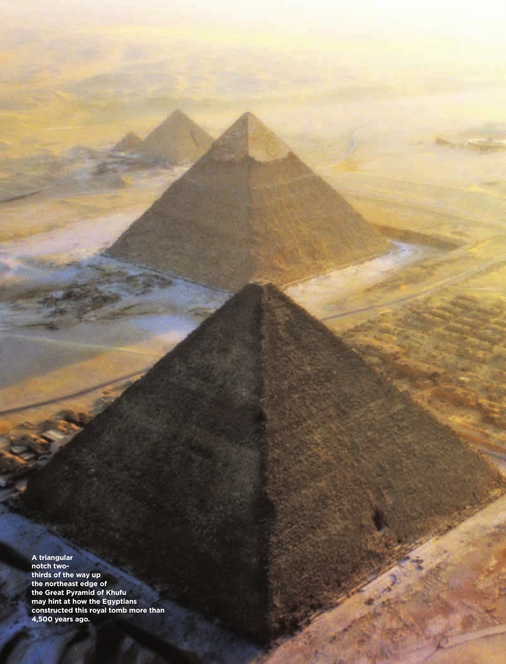**A triangular notch twothirds of the way up the northeast edge of the Great Pyramid of Khufu may hint at how the Egyptians constructed this royal tomb more than 4,500 years ago.**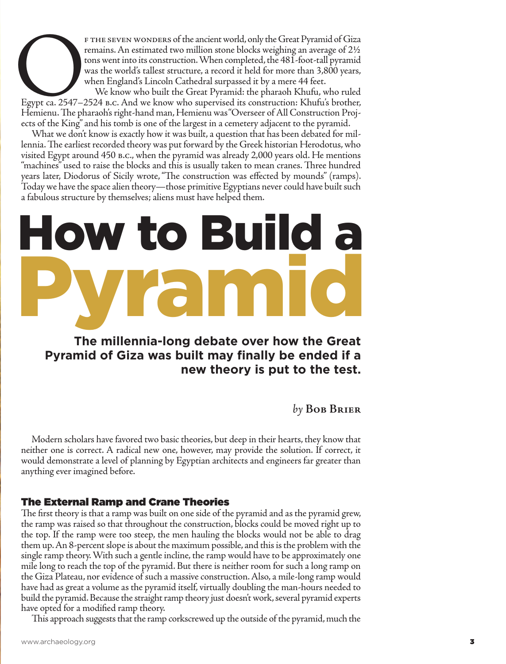FTHE SEVEN WONDERS of the ancient world, only the Great Pyramid of Giza<br>remains. An estimated two million stone blocks weighing an average of 2½<br>tons went into its construction. When completed, the 481-foot-tall pyramid<br>wa remains. An estimated two million stone blocks weighing an average of 2½ tons went into its construction. When completed, the 481-foot-tall pyramid was the world's tallest structure, a record it held for more than 3,800 years, when England's Lincoln Cathedral surpassed it by a mere 44 feet.

We know who built the Great Pyramid: the pharaoh Khufu, who ruled Egypt ca. 2547–2524 B.C. And we know who supervised its construction: Khufu's brother, Hemienu. The pharaoh's right-hand man, Hemienu was "Overseer of All Construction Projects of the King" and his tomb is one of the largest in a cemetery adjacent to the pyramid.

What we don't know is exactly how it was built, a question that has been debated for mil lennia. The earliest recorded theory was put forward by the Greek historian Herodotus, who visited Egypt around 450 B.C., when the pyramid was already 2,000 years old. He mentions "machines" used to raise the blocks and this is usually taken to mean cranes. Three hundred years later, Diodorus of Sicily wrote, "The construction was effected by mounds" (ramps). Today we have the space alien theory—those primitive Egyptians never could have built such a fabulous structure by themselves; aliens must have helped them.

## How to Build a Pyramid

## **The millennia-long debate over how the Great Pyramid of Giza was built may finally be ended if a new theory is put to the test.**

by **Bob Brier** 

Modern scholars have favored two basic theories, but deep in their hearts, they know that neither one is correct. A radical new one, however, may provide the solution. If correct, it would demonstrate a level of planning by Egyptian architects and engineers far greater than anything ever imagined before.

## The External Ramp and Crane Theories

The first theory is that a ramp was built on one side of the pyramid and as the pyramid grew, the ramp was raised so that throughout the construction, blocks could be moved right up to the top. If the ramp were too steep, the men hauling the blocks would not be able to drag them up. An 8-percent slope is about the maximum possible, and this is the problem with the single ramp theory. With such a gentle incline, the ramp would have to be approximately one mile long to reach the top of the pyramid. But there is neither room for such a long ramp on the Giza Plateau, nor evidence of such a massive construction. Also, a mile-long ramp would have had as great a volume as the pyramid itself, virtually doubling the man-hours needed to build the pyramid. Because the straight ramp theory just doesn't work, several pyramid experts have opted for a modified ramp theory.

This approach suggests that the ramp corkscrewed up the outside of the pyramid, much the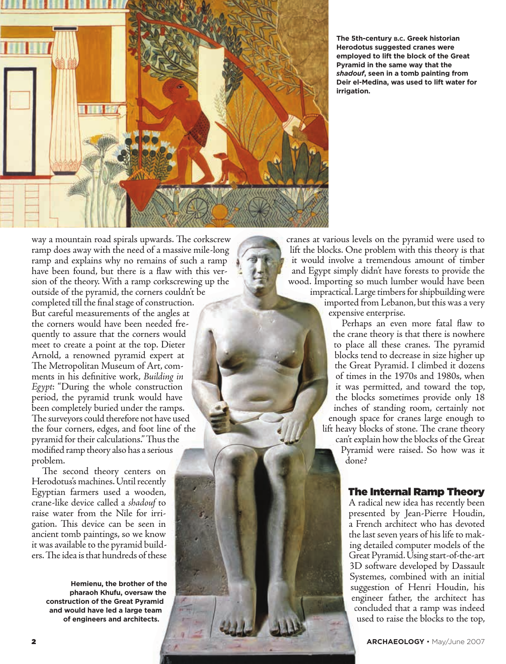

**The 5th-century b.c. Greek historian herodotus suggested cranes were employed to lift the block of the Great Pyramid in the same way that the**  *shadouf***, seen in a tomb painting from Deir el-Medina, was used to lift water for irrigation.**

way a mountain road spirals upwards. The corkscrew ramp does away with the need of a massive mile-long ramp and explains why no remains of such a ramp have been found, but there is a flaw with this version of the theory. With a ramp corkscrewing up the outside of the pyramid, the corners couldn't be

completed till the final stage of construction. But careful measurements of the angles at the corners would have been needed frequently to assure that the corners would meet to create a point at the top. Dieter Arnold, a renowned pyramid expert at The Metropolitan Museum of Art, comments in his definitive work, *Building in Egypt*: "During the whole construction period, the pyramid trunk would have been completely buried under the ramps. The surveyors could therefore not have used the four corners, edges, and foot line of the pyramid for their calculations." Thus the modified ramp theory also has a serious problem.

The second theory centers on Herodotus's machines. Until recently Egyptian farmers used a wooden, crane-like device called a *shadouf* to raise water from the Nile for irrigation. This device can be seen in ancient tomb paintings, so we know it was available to the pyramid builders. The idea is that hundreds of these

> **hemienu, the brother of the pharaoh Khufu, oversaw the construction of the Great Pyramid and would have led a large team of engineers and architects.**

cranes at various levels on the pyramid were used to lift the blocks. One problem with this theory is that it would involve a tremendous amount of timber and Egypt simply didn't have forests to provide the wood. Importing so much lumber would have been impractical. Large timbers for shipbuilding were imported from Lebanon, but this was a very

expensive enterprise.

Perhaps an even more fatal flaw to the crane theory is that there is nowhere to place all these cranes. The pyramid blocks tend to decrease in size higher up the Great Pyramid. I climbed it dozens of times in the 1970s and 1980s, when it was permitted, and toward the top, the blocks sometimes provide only 18 inches of standing room, certainly not enough space for cranes large enough to lift heavy blocks of stone. The crane theory can't explain how the blocks of the Great

Pyramid were raised. So how was it done?

## The Internal Ramp Theory

A radical new idea has recently been presented by Jean-Pierre Houdin, a French architect who has devoted the last seven years of his life to making detailed computer models of the Great Pyramid. Using start-of-the-art 3D software developed by Dassault Systemes, combined with an initial suggestion of Henri Houdin, his engineer father, the architect has concluded that a ramp was indeed used to raise the blocks to the top,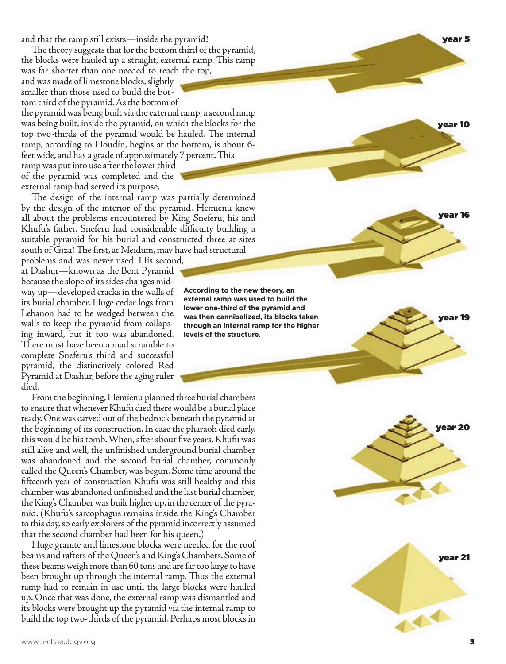and that the ramp still exists—inside the pyramid!

The theory suggests that for the bottom third of the pyramid, the blocks were hauled up a straight, external ramp. This ramp

was far shorter than one needed to reach the top, and was made of limestone blocks, slightly smaller than those used to build the bot tom third of the pyramid. As the bottom of

the pyramid was being built via the external ramp, a second ramp was being built, inside the pyramid, on which the blocks for the top two-thirds of the pyramid would be hauled. The internal ramp, according to Houdin, begins at the bottom, is about 6 feet wide, and has a grade of approximately 7 percent. This

ramp was put into use after the lower third of the pyramid was completed and the external ramp had served its purpose.

The design of the internal ramp was partially determined by the design of the interior of the pyramid. Hemienu knew all about the problems encountered by King Sneferu, his and Khufu's father. Sneferu had considerable difficulty building a suitable pyramid for his burial and constructed three at sites south of Giza! The first, at Meidum, may have had structural

problems and was never used. His second, at Dashur—known as the Bent Pyramid because the slope of its sides changes mid way up—developed cracks in the walls of its burial chamber. Huge cedar logs from Lebanon had to be wedged between the walls to keep the pyramid from collaps ing inward, but it too was abandoned. There must have been a mad scramble to complete Sneferu's third and successful pyramid, the distinctively colored Red Pyramid at Dashur, before the aging ruler died.

From the beginning, Hemienu planned three burial chambers to ensure that whenever Khufu died there would be a burial place ready. One was carved out of the bedrock beneath the pyramid at the beginning of its construction. In case the pharaoh died early, this would be his tomb. When, after about five years, Khufu was still alive and well, the unfinished underground burial chamber was abandoned and the second burial chamber, commonly called the Queen's Chamber, was begun. Some time around the fifteenth year of construction Khufu was still healthy and this chamber was abandoned unfinished and the last burial chamber, the King's Chamber was built higher up, in the center of the pyra mid. (Khufu's sarcophagus remains inside the King's Chamber to this day, so early explorers of the pyramid incorrectly assumed that the second chamber had been for his queen.)

Huge granite and limestone blocks were needed for the roof beams and rafters of the Queen's and King's Chambers. Some of these beams weigh more than 60 tons and are far too large to have been brought up through the internal ramp. Thus the external ramp had to remain in use until the large blocks were hauled up. Once that was done, the external ramp was dismantled and its blocks were brought up the pyramid via the internal ramp to build the top two-thirds of the pyramid. Perhaps most blocks in

**According to the new theory, an external ramp was used to build the lower one-third of the pyramid and was then cannibalized, its blocks taken through an internal ramp for the higher levels of the structure.** 



3



year 5

year 10

year 19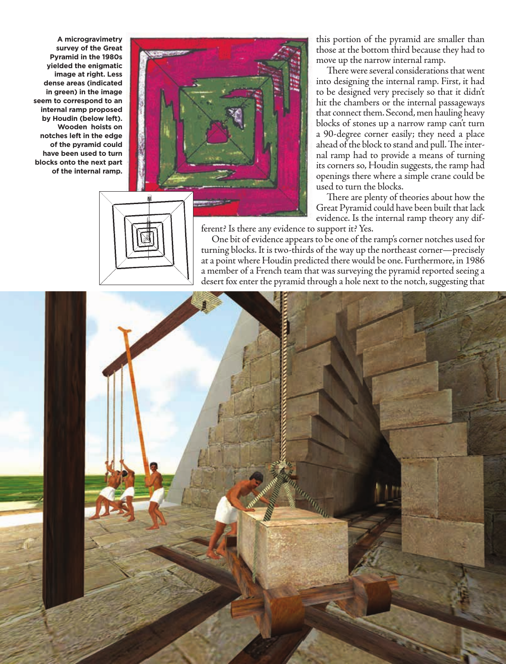**A microgravimetry survey of the Great Pyramid in the 1980s yielded the enigmatic image at right. less dense areas (indicated in green) in the image seem to correspond to an internal ramp proposed by houdin (below left). Wooden hoists on notches left in the edge of the pyramid could have been used to turn blocks onto the next part of the internal ramp.**



this portion of the pyramid are smaller than those at the bottom third because they had to move up the narrow internal ramp.

There were several considerations that went into designing the internal ramp. First, it had to be designed very precisely so that it didn't hit the chambers or the internal passageways that connect them. Second, men hauling heavy blocks of stones up a narrow ramp can't turn a 90-degree corner easily; they need a place ahead of the block to stand and pull. The internal ramp had to provide a means of turning its corners so, Houdin suggests, the ramp had openings there where a simple crane could be used to turn the blocks.

There are plenty of theories about how the Great Pyramid could have been built that lack evidence. Is the internal ramp theory any different? Is there any evidence to support it? Yes.

One bit of evidence appears to be one of the ramp's corner notches used for turning blocks. It is two-thirds of the way up the northeast corner—precisely at a point where Houdin predicted there would be one. Furthermore, in 1986



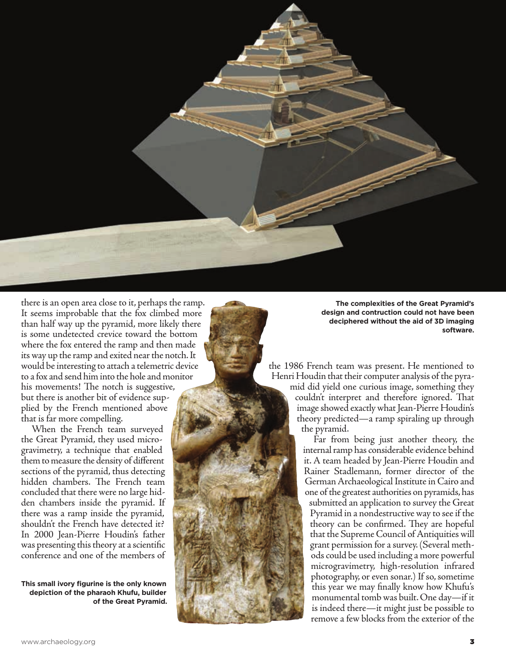

there is an open area close to it, perhaps the ramp. It seems improbable that the fox climbed more than half way up the pyramid, more likely there is some undetected crevice toward the bottom where the fox entered the ramp and then made its way up the ramp and exited near the notch. It would be interesting to attach a telemetric device to a fox and send him into the hole and monitor his movements! The notch is suggestive, but there is another bit of evidence supplied by the French mentioned above that is far more compelling.

When the French team surveyed the Great Pyramid, they used microgravimetry, a technique that enabled them to measure the density of different sections of the pyramid, thus detecting hidden chambers. The French team concluded that there were no large hidden chambers inside the pyramid. If there was a ramp inside the pyramid, shouldn't the French have detected it? In 2000 Jean-Pierre Houdin's father was presenting this theory at a scientific conference and one of the members of

**This small ivory figurine is the only known depiction of the pharaoh Khufu, builder of the Great Pyramid.** 

**The complexities of the Great Pyramid's design and contruction could not have been deciphered without the aid of 3D imaging software.** 

the 1986 French team was present. He mentioned to Henri Houdin that their computer analysis of the pyramid did yield one curious image, something they couldn't interpret and therefore ignored. That image showed exactly what Jean-Pierre Houdin's theory predicted—a ramp spiraling up through the pyramid.

Far from being just another theory, the internal ramp has considerable evidence behind it. A team headed by Jean-Pierre Houdin and Rainer Stadlemann, former director of the German Archaeological Institute in Cairo and one of the greatest authorities on pyramids, has submitted an application to survey the Great Pyramid in a nondestructive way to see if the theory can be confirmed. They are hopeful that the Supreme Council of Antiquities will grant permission for a survey. (Several methods could be used including a more powerful microgravimetry, high-resolution infrared photography, or even sonar.) If so, sometime this year we may finally know how Khufu's monumental tomb was built. One day—if it is indeed there—it might just be possible to remove a few blocks from the exterior of the